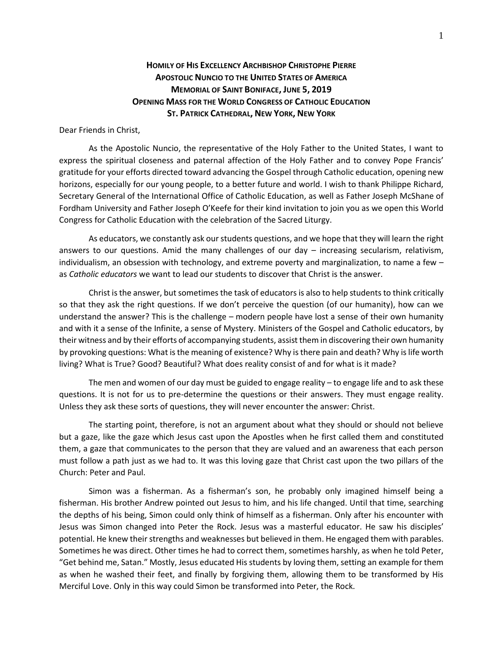## **HOMILY OF HIS EXCELLENCY ARCHBISHOP CHRISTOPHE PIERRE APOSTOLIC NUNCIO TO THE UNITED STATES OF AMERICA MEMORIAL OF SAINT BONIFACE, JUNE 5, 2019 OPENING MASS FOR THE WORLD CONGRESS OF CATHOLIC EDUCATION ST. PATRICK CATHEDRAL, NEW YORK, NEW YORK**

Dear Friends in Christ,

As the Apostolic Nuncio, the representative of the Holy Father to the United States, I want to express the spiritual closeness and paternal affection of the Holy Father and to convey Pope Francis' gratitude for your efforts directed toward advancing the Gospel through Catholic education, opening new horizons, especially for our young people, to a better future and world. I wish to thank Philippe Richard, Secretary General of the International Office of Catholic Education, as well as Father Joseph McShane of Fordham University and Father Joseph O'Keefe for their kind invitation to join you as we open this World Congress for Catholic Education with the celebration of the Sacred Liturgy.

As educators, we constantly ask our students questions, and we hope that they will learn the right answers to our questions. Amid the many challenges of our day  $-$  increasing secularism, relativism, individualism, an obsession with technology, and extreme poverty and marginalization, to name a few – as *Catholic educators* we want to lead our students to discover that Christ is the answer.

Christ is the answer, but sometimes the task of educators is also to help students to think critically so that they ask the right questions. If we don't perceive the question (of our humanity), how can we understand the answer? This is the challenge – modern people have lost a sense of their own humanity and with it a sense of the Infinite, a sense of Mystery. Ministers of the Gospel and Catholic educators, by their witness and by their efforts of accompanying students, assist them in discovering their own humanity by provoking questions: What is the meaning of existence? Why is there pain and death? Why is life worth living? What is True? Good? Beautiful? What does reality consist of and for what is it made?

The men and women of our day must be guided to engage reality – to engage life and to ask these questions. It is not for us to pre-determine the questions or their answers. They must engage reality. Unless they ask these sorts of questions, they will never encounter the answer: Christ.

The starting point, therefore, is not an argument about what they should or should not believe but a gaze, like the gaze which Jesus cast upon the Apostles when he first called them and constituted them, a gaze that communicates to the person that they are valued and an awareness that each person must follow a path just as we had to. It was this loving gaze that Christ cast upon the two pillars of the Church: Peter and Paul.

Simon was a fisherman. As a fisherman's son, he probably only imagined himself being a fisherman. His brother Andrew pointed out Jesus to him, and his life changed. Until that time, searching the depths of his being, Simon could only think of himself as a fisherman. Only after his encounter with Jesus was Simon changed into Peter the Rock. Jesus was a masterful educator. He saw his disciples' potential. He knew their strengths and weaknesses but believed in them. He engaged them with parables. Sometimes he was direct. Other times he had to correct them, sometimes harshly, as when he told Peter, "Get behind me, Satan." Mostly, Jesus educated His students by loving them, setting an example for them as when he washed their feet, and finally by forgiving them, allowing them to be transformed by His Merciful Love. Only in this way could Simon be transformed into Peter, the Rock.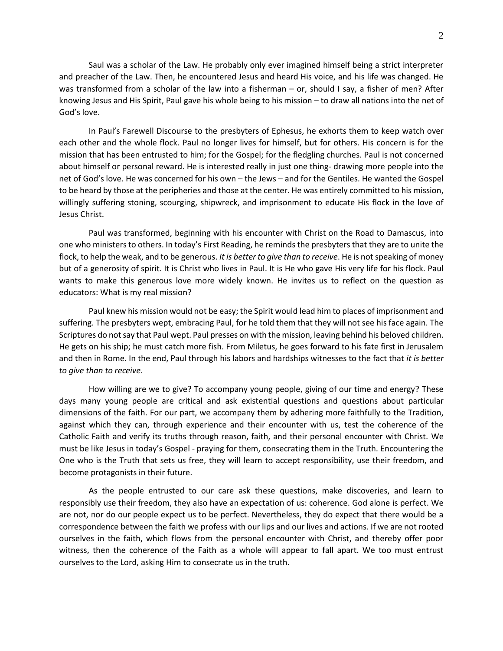Saul was a scholar of the Law. He probably only ever imagined himself being a strict interpreter and preacher of the Law. Then, he encountered Jesus and heard His voice, and his life was changed. He was transformed from a scholar of the law into a fisherman – or, should I say, a fisher of men? After knowing Jesus and His Spirit, Paul gave his whole being to his mission – to draw all nations into the net of God's love.

In Paul's Farewell Discourse to the presbyters of Ephesus, he exhorts them to keep watch over each other and the whole flock. Paul no longer lives for himself, but for others. His concern is for the mission that has been entrusted to him; for the Gospel; for the fledgling churches. Paul is not concerned about himself or personal reward. He is interested really in just one thing- drawing more people into the net of God's love. He was concerned for his own – the Jews – and for the Gentiles. He wanted the Gospel to be heard by those at the peripheries and those at the center. He was entirely committed to his mission, willingly suffering stoning, scourging, shipwreck, and imprisonment to educate His flock in the love of Jesus Christ.

Paul was transformed, beginning with his encounter with Christ on the Road to Damascus, into one who ministers to others. In today's First Reading, he reminds the presbyters that they are to unite the flock, to help the weak, and to be generous. *It is better to give than to receive*. He is not speaking of money but of a generosity of spirit. It is Christ who lives in Paul. It is He who gave His very life for his flock. Paul wants to make this generous love more widely known. He invites us to reflect on the question as educators: What is my real mission?

Paul knew his mission would not be easy; the Spirit would lead him to places of imprisonment and suffering. The presbyters wept, embracing Paul, for he told them that they will not see his face again. The Scriptures do not say that Paul wept. Paul presses on with the mission, leaving behind his beloved children. He gets on his ship; he must catch more fish. From Miletus, he goes forward to his fate first in Jerusalem and then in Rome. In the end, Paul through his labors and hardships witnesses to the fact that *it is better to give than to receive*.

How willing are we to give? To accompany young people, giving of our time and energy? These days many young people are critical and ask existential questions and questions about particular dimensions of the faith. For our part, we accompany them by adhering more faithfully to the Tradition, against which they can, through experience and their encounter with us, test the coherence of the Catholic Faith and verify its truths through reason, faith, and their personal encounter with Christ. We must be like Jesus in today's Gospel - praying for them, consecrating them in the Truth. Encountering the One who is the Truth that sets us free, they will learn to accept responsibility, use their freedom, and become protagonists in their future.

As the people entrusted to our care ask these questions, make discoveries, and learn to responsibly use their freedom, they also have an expectation of us: coherence. God alone is perfect. We are not, nor do our people expect us to be perfect. Nevertheless, they do expect that there would be a correspondence between the faith we profess with our lips and our lives and actions. If we are not rooted ourselves in the faith, which flows from the personal encounter with Christ, and thereby offer poor witness, then the coherence of the Faith as a whole will appear to fall apart. We too must entrust ourselves to the Lord, asking Him to consecrate us in the truth.